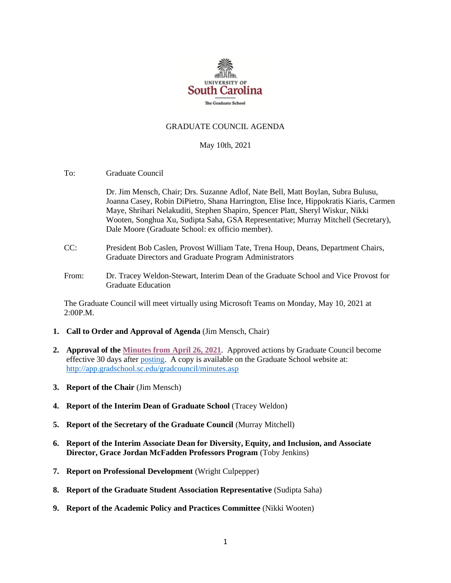

## GRADUATE COUNCIL AGENDA

#### May 10th, 2021

To: Graduate Council

Dr. Jim Mensch, Chair; Drs. Suzanne Adlof, Nate Bell, Matt Boylan, Subra Bulusu, Joanna Casey, Robin DiPietro, Shana Harrington, Elise Ince, Hippokratis Kiaris, Carmen Maye, Shrihari Nelakuditi, Stephen Shapiro, Spencer Platt, Sheryl Wiskur, Nikki Wooten, Songhua Xu, Sudipta Saha, GSA Representative; Murray Mitchell (Secretary), Dale Moore (Graduate School: ex officio member).

- CC: President Bob Caslen, Provost William Tate, Trena Houp, Deans, Department Chairs, Graduate Directors and Graduate Program Administrators
- From: Dr. Tracey Weldon-Stewart, Interim Dean of the Graduate School and Vice Provost for Graduate Education

The Graduate Council will meet virtually using Microsoft Teams on Monday, May 10, 2021 at 2:00P.M.

- **1. Call to Order and Approval of Agenda** (Jim Mensch, Chair)
- **2. Approval of th[e Minutes from April](GCMINUTES4.26.21%20MFM.pdf) 26, 2021**. Approved actions by Graduate Council become effective 30 days after [posting.](GCMINUTES4.26.21%20MFM.pdf) A copy is available on the Graduate School website at: <http://app.gradschool.sc.edu/gradcouncil/minutes.asp>
- **3. Report of the Chair** (Jim Mensch)
- **4. Report of the Interim Dean of Graduate School** (Tracey Weldon)
- **5. Report of the Secretary of the Graduate Council** (Murray Mitchell)
- **6. Report of the Interim Associate Dean for Diversity, Equity, and Inclusion, and Associate Director, Grace Jordan McFadden Professors Program** (Toby Jenkins)
- **7. Report on Professional Development** (Wright Culpepper)
- **8. Report of the Graduate Student Association Representative** (Sudipta Saha)
- **9. Report of the Academic Policy and Practices Committee** (Nikki Wooten)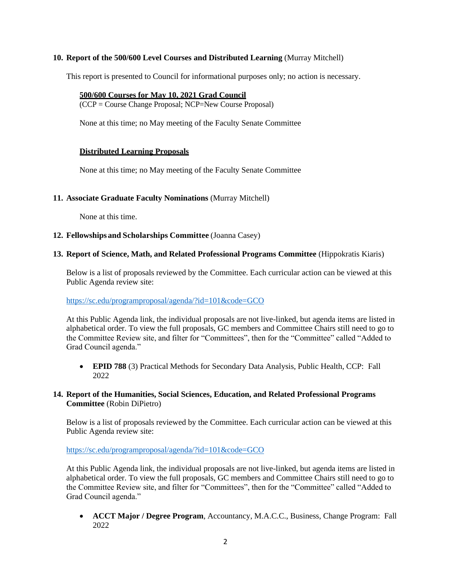# **10. Report of the 500/600 Level Courses and Distributed Learning** (Murray Mitchell)

This report is presented to Council for informational purposes only; no action is necessary.

#### **500/600 Courses for May 10, 2021 Grad Council**

(CCP = Course Change Proposal; NCP=New Course Proposal)

None at this time; no May meeting of the Faculty Senate Committee

## **Distributed Learning Proposals**

None at this time; no May meeting of the Faculty Senate Committee

## **11. Associate Graduate Faculty Nominations** (Murray Mitchell)

None at this time.

## **12. Fellowships and Scholarships Committee** (Joanna Casey)

## **13. Report of Science, Math, and Related Professional Programs Committee** (Hippokratis Kiaris)

Below is a list of proposals reviewed by the Committee. Each curricular action can be viewed at this Public Agenda review site:

#### <https://sc.edu/programproposal/agenda/?id=101&code=GCO>

At this Public Agenda link, the individual proposals are not live-linked, but agenda items are listed in alphabetical order. To view the full proposals, GC members and Committee Chairs still need to go to the Committee Review site, and filter for "Committees", then for the "Committee" called "Added to Grad Council agenda."

• **EPID 788** (3) Practical Methods for Secondary Data Analysis, Public Health, CCP: Fall 2022

# **14. Report of the Humanities, Social Sciences, Education, and Related Professional Programs Committee** (Robin DiPietro)

Below is a list of proposals reviewed by the Committee. Each curricular action can be viewed at this Public Agenda review site:

## <https://sc.edu/programproposal/agenda/?id=101&code=GCO>

At this Public Agenda link, the individual proposals are not live-linked, but agenda items are listed in alphabetical order. To view the full proposals, GC members and Committee Chairs still need to go to the Committee Review site, and filter for "Committees", then for the "Committee" called "Added to Grad Council agenda."

• **ACCT Major / Degree Program**, Accountancy, M.A.C.C., Business, Change Program: Fall 2022